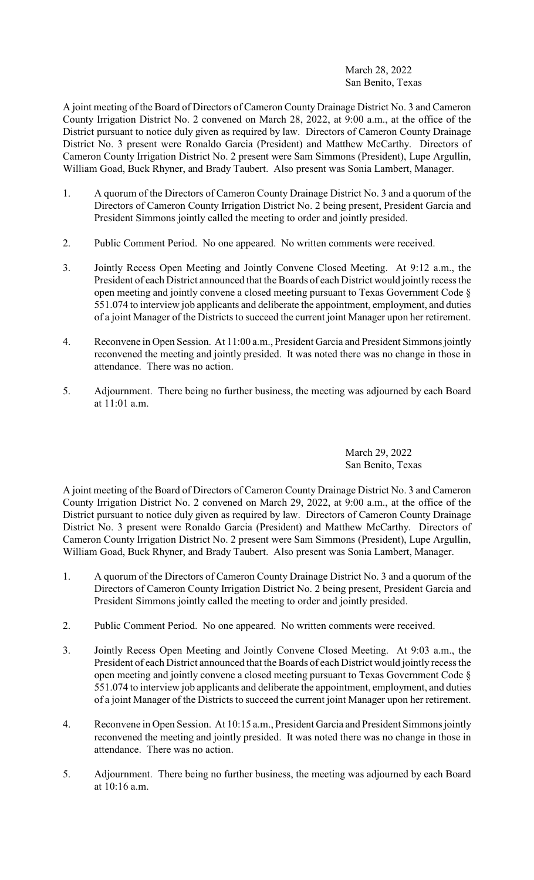## March 28, 2022 San Benito, Texas

A joint meeting of the Board of Directors of Cameron County Drainage District No. 3 and Cameron County Irrigation District No. 2 convened on March 28, 2022, at 9:00 a.m., at the office of the District pursuant to notice duly given as required by law. Directors of Cameron County Drainage District No. 3 present were Ronaldo Garcia (President) and Matthew McCarthy. Directors of Cameron County Irrigation District No. 2 present were Sam Simmons (President), Lupe Argullin, William Goad, Buck Rhyner, and Brady Taubert. Also present was Sonia Lambert, Manager.

- 1. A quorum of the Directors of Cameron County Drainage District No. 3 and a quorum of the Directors of Cameron County Irrigation District No. 2 being present, President Garcia and President Simmons jointly called the meeting to order and jointly presided.
- 2. Public Comment Period. No one appeared. No written comments were received.
- 3. Jointly Recess Open Meeting and Jointly Convene Closed Meeting. At 9:12 a.m., the President of each District announced that the Boards of each District would jointly recess the open meeting and jointly convene a closed meeting pursuant to Texas Government Code § 551.074 to interview job applicants and deliberate the appointment, employment, and duties of a joint Manager of the Districts to succeed the current joint Manager upon her retirement.
- 4. Reconvene in Open Session. At 11:00 a.m., President Garcia and President Simmons jointly reconvened the meeting and jointly presided. It was noted there was no change in those in attendance. There was no action.
- 5. Adjournment. There being no further business, the meeting was adjourned by each Board at 11:01 a.m.

## March 29, 2022 San Benito, Texas

A joint meeting of the Board of Directors of Cameron County Drainage District No. 3 and Cameron County Irrigation District No. 2 convened on March 29, 2022, at 9:00 a.m., at the office of the District pursuant to notice duly given as required by law. Directors of Cameron County Drainage District No. 3 present were Ronaldo Garcia (President) and Matthew McCarthy. Directors of Cameron County Irrigation District No. 2 present were Sam Simmons (President), Lupe Argullin, William Goad, Buck Rhyner, and Brady Taubert. Also present was Sonia Lambert, Manager.

- 1. A quorum of the Directors of Cameron County Drainage District No. 3 and a quorum of the Directors of Cameron County Irrigation District No. 2 being present, President Garcia and President Simmons jointly called the meeting to order and jointly presided.
- 2. Public Comment Period. No one appeared. No written comments were received.
- 3. Jointly Recess Open Meeting and Jointly Convene Closed Meeting. At 9:03 a.m., the President of each District announced that the Boards of each District would jointly recess the open meeting and jointly convene a closed meeting pursuant to Texas Government Code § 551.074 to interview job applicants and deliberate the appointment, employment, and duties of a joint Manager of the Districts to succeed the current joint Manager upon her retirement.
- 4. Reconvene in Open Session. At 10:15 a.m., President Garcia and President Simmons jointly reconvened the meeting and jointly presided. It was noted there was no change in those in attendance. There was no action.
- 5. Adjournment. There being no further business, the meeting was adjourned by each Board at 10:16 a.m.